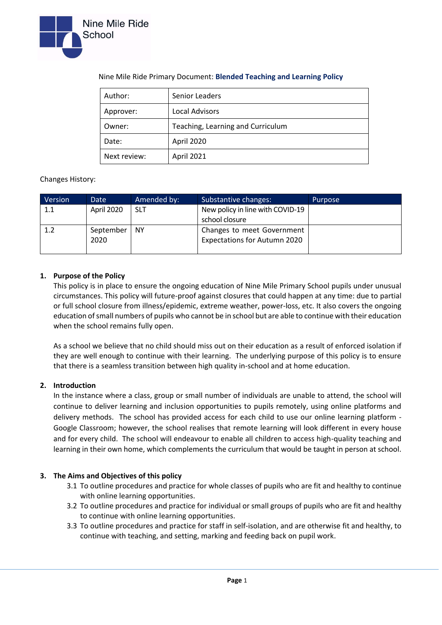

| Author:      | Senior Leaders                    |  |  |
|--------------|-----------------------------------|--|--|
| Approver:    | <b>Local Advisors</b>             |  |  |
| Owner:       | Teaching, Learning and Curriculum |  |  |
| Date:        | April 2020                        |  |  |
| Next review: | April 2021                        |  |  |

# Nine Mile Ride Primary Document: **Blended Teaching and Learning Policy**

## Changes History:

| Version | Date       | Amended by: | Substantive changes:                | Purpose |
|---------|------------|-------------|-------------------------------------|---------|
| 1.1     | April 2020 | <b>SLT</b>  | New policy in line with COVID-19    |         |
|         |            |             | school closure                      |         |
| $1.2\,$ | September  | <b>NY</b>   | Changes to meet Government          |         |
|         | 2020       |             | <b>Expectations for Autumn 2020</b> |         |
|         |            |             |                                     |         |

## **1. Purpose of the Policy**

This policy is in place to ensure the ongoing education of Nine Mile Primary School pupils under unusual circumstances. This policy will future-proof against closures that could happen at any time: due to partial or full school closure from illness/epidemic, extreme weather, power-loss, etc. It also covers the ongoing education of small numbers of pupils who cannot be in school but are able to continue with their education when the school remains fully open.

As a school we believe that no child should miss out on their education as a result of enforced isolation if they are well enough to continue with their learning. The underlying purpose of this policy is to ensure that there is a seamless transition between high quality in-school and at home education.

## **2. Introduction**

In the instance where a class, group or small number of individuals are unable to attend, the school will continue to deliver learning and inclusion opportunities to pupils remotely, using online platforms and delivery methods. The school has provided access for each child to use our online learning platform - Google Classroom; however, the school realises that remote learning will look different in every house and for every child. The school will endeavour to enable all children to access high-quality teaching and learning in their own home, which complements the curriculum that would be taught in person at school.

## **3. The Aims and Objectives of this policy**

- 3.1 To outline procedures and practice for whole classes of pupils who are fit and healthy to continue with online learning opportunities.
- 3.2 To outline procedures and practice for individual or small groups of pupils who are fit and healthy to continue with online learning opportunities.
- 3.3 To outline procedures and practice for staff in self-isolation, and are otherwise fit and healthy, to continue with teaching, and setting, marking and feeding back on pupil work.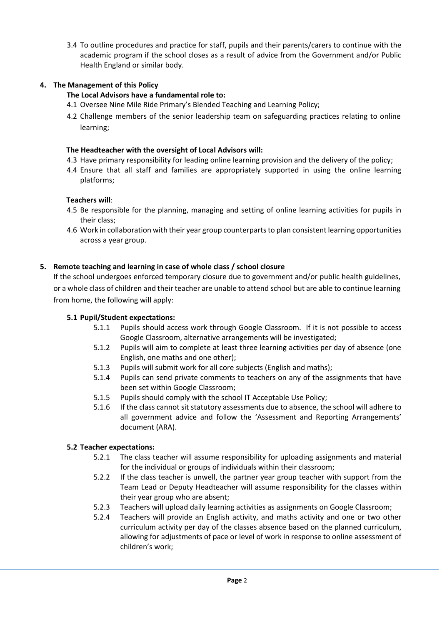3.4 To outline procedures and practice for staff, pupils and their parents/carers to continue with the academic program if the school closes as a result of advice from the Government and/or Public Health England or similar body.

# **4. The Management of this Policy**

# **The Local Advisors have a fundamental role to:**

- 4.1 Oversee Nine Mile Ride Primary's Blended Teaching and Learning Policy;
- 4.2 Challenge members of the senior leadership team on safeguarding practices relating to online learning;

#### **The Headteacher with the oversight of Local Advisors will:**

- 4.3 Have primary responsibility for leading online learning provision and the delivery of the policy;
- 4.4 Ensure that all staff and families are appropriately supported in using the online learning platforms;

#### **Teachers will**:

- 4.5 Be responsible for the planning, managing and setting of online learning activities for pupils in their class;
- 4.6 Work in collaboration with their year group counterparts to plan consistent learning opportunities across a year group.

## **5. Remote teaching and learning in case of whole class / school closure**

If the school undergoes enforced temporary closure due to government and/or public health guidelines, or a whole class of children and their teacher are unable to attend school but are able to continue learning from home, the following will apply:

## **5.1 Pupil/Student expectations:**

- 5.1.1 Pupils should access work through Google Classroom. If it is not possible to access Google Classroom, alternative arrangements will be investigated;
- 5.1.2 Pupils will aim to complete at least three learning activities per day of absence (one English, one maths and one other);
- 5.1.3 Pupils will submit work for all core subjects (English and maths);
- 5.1.4 Pupils can send private comments to teachers on any of the assignments that have been set within Google Classroom;
- 5.1.5 Pupils should comply with the school IT Acceptable Use Policy;
- 5.1.6 If the class cannot sit statutory assessments due to absence, the school will adhere to all government advice and follow the 'Assessment and Reporting Arrangements' document (ARA).

## **5.2 Teacher expectations:**

- 5.2.1 The class teacher will assume responsibility for uploading assignments and material for the individual or groups of individuals within their classroom;
- 5.2.2 If the class teacher is unwell, the partner year group teacher with support from the Team Lead or Deputy Headteacher will assume responsibility for the classes within their year group who are absent;
- 5.2.3 Teachers will upload daily learning activities as assignments on Google Classroom;
- 5.2.4 Teachers will provide an English activity, and maths activity and one or two other curriculum activity per day of the classes absence based on the planned curriculum, allowing for adjustments of pace or level of work in response to online assessment of children's work;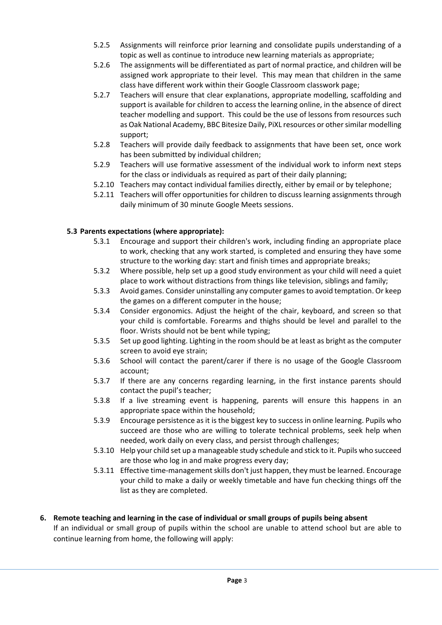- 5.2.5 Assignments will reinforce prior learning and consolidate pupils understanding of a topic as well as continue to introduce new learning materials as appropriate;
- 5.2.6 The assignments will be differentiated as part of normal practice, and children will be assigned work appropriate to their level. This may mean that children in the same class have different work within their Google Classroom classwork page;
- 5.2.7 Teachers will ensure that clear explanations, appropriate modelling, scaffolding and support is available for children to access the learning online, in the absence of direct teacher modelling and support. This could be the use of lessons from resources such as Oak National Academy, BBC Bitesize Daily, PiXL resources or other similar modelling support;
- 5.2.8 Teachers will provide daily feedback to assignments that have been set, once work has been submitted by individual children;
- 5.2.9 Teachers will use formative assessment of the individual work to inform next steps for the class or individuals as required as part of their daily planning;
- 5.2.10 Teachers may contact individual families directly, either by email or by telephone;
- 5.2.11 Teachers will offer opportunities for children to discuss learning assignments through daily minimum of 30 minute Google Meets sessions.

# **5.3 Parents expectations (where appropriate):**

- 5.3.1 Encourage and support their children's work, including finding an appropriate place to work, checking that any work started, is completed and ensuring they have some structure to the working day: start and finish times and appropriate breaks;
- 5.3.2 Where possible, help set up a good study environment as your child will need a quiet place to work without distractions from things like television, siblings and family;
- 5.3.3 Avoid games. Consider uninstalling any computer games to avoid temptation. Or keep the games on a different computer in the house;
- 5.3.4 Consider ergonomics. Adjust the height of the chair, keyboard, and screen so that your child is comfortable. Forearms and thighs should be level and parallel to the floor. Wrists should not be bent while typing;
- 5.3.5 Set up good lighting. Lighting in the room should be at least as bright as the computer screen to avoid eye strain;
- 5.3.6 School will contact the parent/carer if there is no usage of the Google Classroom account;
- 5.3.7 If there are any concerns regarding learning, in the first instance parents should contact the pupil's teacher;
- 5.3.8 If a live streaming event is happening, parents will ensure this happens in an appropriate space within the household;
- 5.3.9 Encourage persistence as it is the biggest key to success in online learning. Pupils who succeed are those who are willing to tolerate technical problems, seek help when needed, work daily on every class, and persist through challenges;
- 5.3.10 Help your child set up a manageable study schedule and stick to it. Pupils who succeed are those who log in and make progress every day;
- 5.3.11 Effective time-management skills don't just happen, they must be learned. Encourage your child to make a daily or weekly timetable and have fun checking things off the list as they are completed.

#### **6. Remote teaching and learning in the case of individual or small groups of pupils being absent** If an individual or small group of pupils within the school are unable to attend school but are able to

continue learning from home, the following will apply: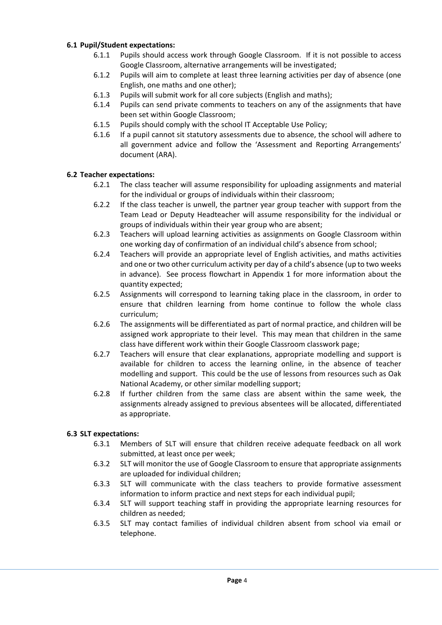## **6.1 Pupil/Student expectations:**

- 6.1.1 Pupils should access work through Google Classroom. If it is not possible to access Google Classroom, alternative arrangements will be investigated;
- 6.1.2 Pupils will aim to complete at least three learning activities per day of absence (one English, one maths and one other);
- 6.1.3 Pupils will submit work for all core subjects (English and maths);
- 6.1.4 Pupils can send private comments to teachers on any of the assignments that have been set within Google Classroom;
- 6.1.5 Pupils should comply with the school IT Acceptable Use Policy;
- 6.1.6 If a pupil cannot sit statutory assessments due to absence, the school will adhere to all government advice and follow the 'Assessment and Reporting Arrangements' document (ARA).

## **6.2 Teacher expectations:**

- 6.2.1 The class teacher will assume responsibility for uploading assignments and material for the individual or groups of individuals within their classroom;
- 6.2.2 If the class teacher is unwell, the partner year group teacher with support from the Team Lead or Deputy Headteacher will assume responsibility for the individual or groups of individuals within their year group who are absent;
- 6.2.3 Teachers will upload learning activities as assignments on Google Classroom within one working day of confirmation of an individual child's absence from school;
- 6.2.4 Teachers will provide an appropriate level of English activities, and maths activities and one or two other curriculum activity per day of a child's absence (up to two weeks in advance). See process flowchart in Appendix 1 for more information about the quantity expected;
- 6.2.5 Assignments will correspond to learning taking place in the classroom, in order to ensure that children learning from home continue to follow the whole class curriculum;
- 6.2.6 The assignments will be differentiated as part of normal practice, and children will be assigned work appropriate to their level. This may mean that children in the same class have different work within their Google Classroom classwork page;
- 6.2.7 Teachers will ensure that clear explanations, appropriate modelling and support is available for children to access the learning online, in the absence of teacher modelling and support. This could be the use of lessons from resources such as Oak National Academy, or other similar modelling support;
- 6.2.8 If further children from the same class are absent within the same week, the assignments already assigned to previous absentees will be allocated, differentiated as appropriate.

## **6.3 SLT expectations:**

- 6.3.1 Members of SLT will ensure that children receive adequate feedback on all work submitted, at least once per week;
- 6.3.2 SLT will monitor the use of Google Classroom to ensure that appropriate assignments are uploaded for individual children;
- 6.3.3 SLT will communicate with the class teachers to provide formative assessment information to inform practice and next steps for each individual pupil;
- 6.3.4 SLT will support teaching staff in providing the appropriate learning resources for children as needed;
- 6.3.5 SLT may contact families of individual children absent from school via email or telephone.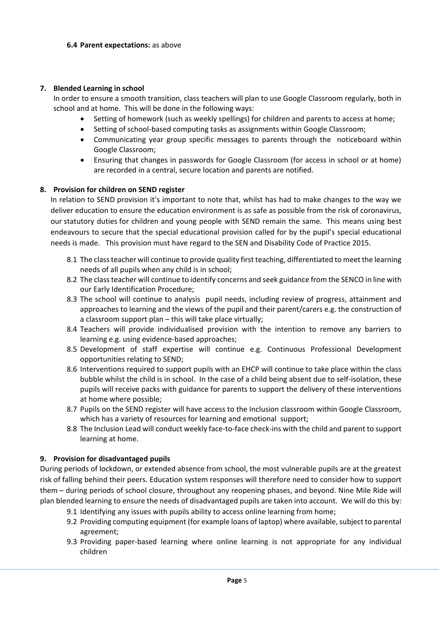## **7. Blended Learning in school**

In order to ensure a smooth transition, class teachers will plan to use Google Classroom regularly, both in school and at home. This will be done in the following ways:

- Setting of homework (such as weekly spellings) for children and parents to access at home;
- Setting of school-based computing tasks as assignments within Google Classroom;
- Communicating year group specific messages to parents through the noticeboard within Google Classroom;
- Ensuring that changes in passwords for Google Classroom (for access in school or at home) are recorded in a central, secure location and parents are notified.

#### **8. Provision for children on SEND register**

In relation to SEND provision it's important to note that, whilst has had to make changes to the way we deliver education to ensure the education environment is as safe as possible from the risk of coronavirus, our [statutory duties](https://www.ipsea.org.uk/Pages/Category/how-should-your-nursery-school-or-college-help) for children and young people with SEND remain the same. This means using best endeavours to secure that the special educational provision called for by the pupil's special educational needs is made. This provision must have regard to the [SEN and Disability Code of Practice 2015.](https://www.gov.uk/government/publications/send-code-of-practice-0-to-25)

- 8.1 The class teacher will continue to provide quality first teaching, differentiated to meet the learning needs of all pupils when any child is in school;
- 8.2 The class teacher will continue to identify concerns and seek guidance from the SENCO in line with our Early Identification Procedure;
- 8.3 The school will continue to analysis pupil needs, including review of progress, attainment and approaches to learning and the views of the pupil and their parent/carers e.g. the construction of a classroom support plan – this will take place virtually;
- 8.4 Teachers will provide individualised provision with the intention to remove any barriers to learning e.g. using evidence-based approaches;
- 8.5 Development of staff expertise will continue e.g. Continuous Professional Development opportunities relating to SEND;
- 8.6 Interventions required to support pupils with an EHCP will continue to take place within the class bubble whilst the child is in school. In the case of a child being absent due to self-isolation, these pupils will receive packs with guidance for parents to support the delivery of these interventions at home where possible;
- 8.7 Pupils on the SEND register will have access to the Inclusion classroom within Google Classroom, which has a variety of resources for learning and emotional support;
- 8.8 The Inclusion Lead will conduct weekly face-to-face check-ins with the child and parent to support learning at home.

#### **9. Provision for disadvantaged pupils**

During periods of lockdown, or extended absence from school, the most vulnerable pupils are at the greatest risk of falling behind their peers. Education system responses will therefore need to consider how to support them – during periods of school closure, throughout any reopening phases, and beyond. Nine Mile Ride will plan blended learning to ensure the needs of disadvantaged pupils are taken into account. We will do this by:

- 9.1 Identifying any issues with pupils ability to access online learning from home;
- 9.2 Providing computing equipment (for example loans of laptop) where available, subject to parental agreement;
- 9.3 Providing paper-based learning where online learning is not appropriate for any individual children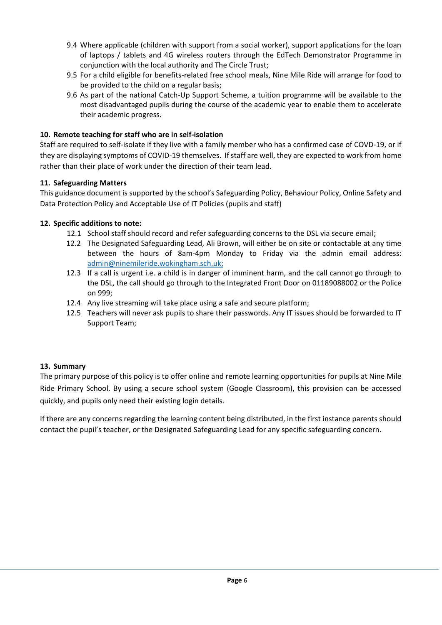- 9.4 Where applicable (children with support from a social worker), support applications for the loan of laptops / tablets and 4G wireless routers through the EdTech Demonstrator Programme in conjunction with the local authority and The Circle Trust;
- 9.5 For a child eligible for benefits-related free school meals, Nine Mile Ride will arrange for food to be provided to the child on a regular basis;
- 9.6 As part of the national Catch-Up Support Scheme, a tuition programme will be available to the most disadvantaged pupils during the course of the academic year to enable them to accelerate their academic progress.

# **10. Remote teaching for staff who are in self-isolation**

Staff are required to self-isolate if they live with a family member who has a confirmed case of COVD-19, or if they are displaying symptoms of COVID-19 themselves. If staff are well, they are expected to work from home rather than their place of work under the direction of their team lead.

## **11. Safeguarding Matters**

This guidance document is supported by the school's Safeguarding Policy, Behaviour Policy, Online Safety and Data Protection Policy and Acceptable Use of IT Policies (pupils and staff)

## **12. Specific additions to note:**

- 12.1 School staff should record and refer safeguarding concerns to the DSL via secure email;
- 12.2 The Designated Safeguarding Lead, Ali Brown, will either be on site or contactable at any time between the hours of 8am-4pm Monday to Friday via the admin email address: [admin@ninemileride.wokingham.sch.uk;](mailto:admin@ninemileride.wokingham.sch.uk)
- 12.3 If a call is urgent i.e. a child is in danger of imminent harm, and the call cannot go through to the DSL, the call should go through to the Integrated Front Door on 01189088002 or the Police on 999;
- 12.4 Any live streaming will take place using a safe and secure platform;
- 12.5 Teachers will never ask pupils to share their passwords. Any IT issues should be forwarded to IT Support Team;

## **13. Summary**

The primary purpose of this policy is to offer online and remote learning opportunities for pupils at Nine Mile Ride Primary School. By using a secure school system (Google Classroom), this provision can be accessed quickly, and pupils only need their existing login details.

If there are any concerns regarding the learning content being distributed, in the first instance parents should contact the pupil's teacher, or the Designated Safeguarding Lead for any specific safeguarding concern.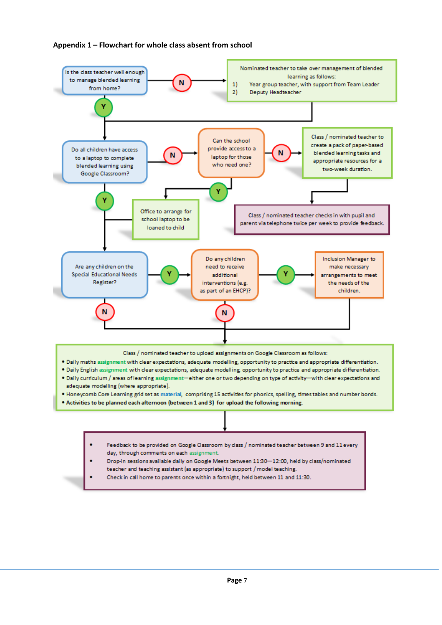#### **Appendix 1 – Flowchart for whole class absent from school**